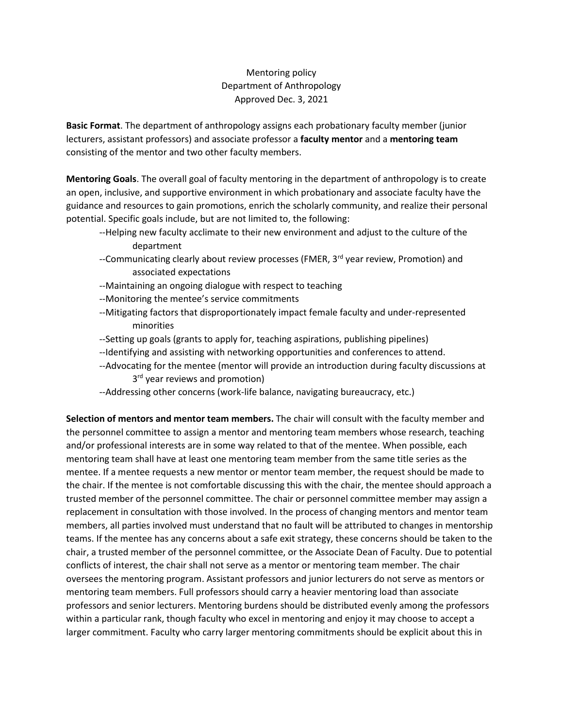## Mentoring policy Department of Anthropology Approved Dec. 3, 2021

**Basic Format**. The department of anthropology assigns each probationary faculty member (junior lecturers, assistant professors) and associate professor a **faculty mentor** and a **mentoring team** consisting of the mentor and two other faculty members.

**Mentoring Goals**. The overall goal of faculty mentoring in the department of anthropology is to create an open, inclusive, and supportive environment in which probationary and associate faculty have the guidance and resources to gain promotions, enrich the scholarly community, and realize their personal potential. Specific goals include, but are not limited to, the following:

- --Helping new faculty acclimate to their new environment and adjust to the culture of the department
- --Communicating clearly about review processes (FMER, 3<sup>rd</sup> year review, Promotion) and associated expectations
- --Maintaining an ongoing dialogue with respect to teaching
- --Monitoring the mentee's service commitments
- --Mitigating factors that disproportionately impact female faculty and under-represented minorities
- --Setting up goals (grants to apply for, teaching aspirations, publishing pipelines)
- --Identifying and assisting with networking opportunities and conferences to attend.
- --Advocating for the mentee (mentor will provide an introduction during faculty discussions at 3<sup>rd</sup> year reviews and promotion)
- --Addressing other concerns (work-life balance, navigating bureaucracy, etc.)

**Selection of mentors and mentor team members.** The chair will consult with the faculty member and the personnel committee to assign a mentor and mentoring team members whose research, teaching and/or professional interests are in some way related to that of the mentee. When possible, each mentoring team shall have at least one mentoring team member from the same title series as the mentee. If a mentee requests a new mentor or mentor team member, the request should be made to the chair. If the mentee is not comfortable discussing this with the chair, the mentee should approach a trusted member of the personnel committee. The chair or personnel committee member may assign a replacement in consultation with those involved. In the process of changing mentors and mentor team members, all parties involved must understand that no fault will be attributed to changes in mentorship teams. If the mentee has any concerns about a safe exit strategy, these concerns should be taken to the chair, a trusted member of the personnel committee, or the Associate Dean of Faculty. Due to potential conflicts of interest, the chair shall not serve as a mentor or mentoring team member. The chair oversees the mentoring program. Assistant professors and junior lecturers do not serve as mentors or mentoring team members. Full professors should carry a heavier mentoring load than associate professors and senior lecturers. Mentoring burdens should be distributed evenly among the professors within a particular rank, though faculty who excel in mentoring and enjoy it may choose to accept a larger commitment. Faculty who carry larger mentoring commitments should be explicit about this in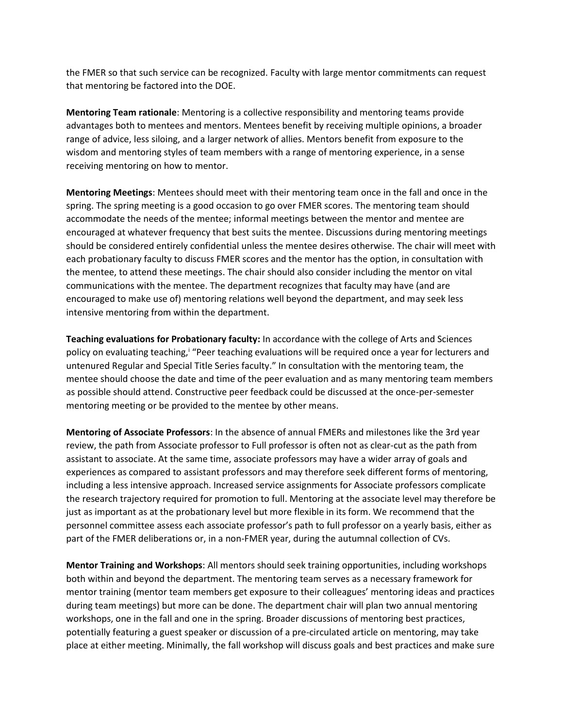the FMER so that such service can be recognized. Faculty with large mentor commitments can request that mentoring be factored into the DOE.

**Mentoring Team rationale**: Mentoring is a collective responsibility and mentoring teams provide advantages both to mentees and mentors. Mentees benefit by receiving multiple opinions, a broader range of advice, less siloing, and a larger network of allies. Mentors benefit from exposure to the wisdom and mentoring styles of team members with a range of mentoring experience, in a sense receiving mentoring on how to mentor.

**Mentoring Meetings**: Mentees should meet with their mentoring team once in the fall and once in the spring. The spring meeting is a good occasion to go over FMER scores. The mentoring team should accommodate the needs of the mentee; informal meetings between the mentor and mentee are encouraged at whatever frequency that best suits the mentee. Discussions during mentoring meetings should be considered entirely confidential unless the mentee desires otherwise. The chair will meet with each probationary faculty to discuss FMER scores and the mentor has the option, in consultation with the mentee, to attend these meetings. The chair should also consider including the mentor on vital communications with the mentee. The department recognizes that faculty may have (and are encouraged to make use of) mentoring relations well beyond the department, and may seek less intensive mentoring from within the department.

**Teaching evaluations for Probationary faculty:** In accordance with the college of Arts and Sciences policy on evaluating teaching,<sup>i</sup> "Peer teaching evaluations will be required once a year for lecturers and untenured Regular and Special Title Series faculty." In consultation with the mentoring team, the mentee should choose the date and time of the peer evaluation and as many mentoring team members as possible should attend. Constructive peer feedback could be discussed at the once-per-semester mentoring meeting or be provided to the mentee by other means.

**Mentoring of Associate Professors**: In the absence of annual FMERs and milestones like the 3rd year review, the path from Associate professor to Full professor is often not as clear-cut as the path from assistant to associate. At the same time, associate professors may have a wider array of goals and experiences as compared to assistant professors and may therefore seek different forms of mentoring, including a less intensive approach. Increased service assignments for Associate professors complicate the research trajectory required for promotion to full. Mentoring at the associate level may therefore be just as important as at the probationary level but more flexible in its form. We recommend that the personnel committee assess each associate professor's path to full professor on a yearly basis, either as part of the FMER deliberations or, in a non-FMER year, during the autumnal collection of CVs.

**Mentor Training and Workshops**: All mentors should seek training opportunities, including workshops both within and beyond the department. The mentoring team serves as a necessary framework for mentor training (mentor team members get exposure to their colleagues' mentoring ideas and practices during team meetings) but more can be done. The department chair will plan two annual mentoring workshops, one in the fall and one in the spring. Broader discussions of mentoring best practices, potentially featuring a guest speaker or discussion of a pre-circulated article on mentoring, may take place at either meeting. Minimally, the fall workshop will discuss goals and best practices and make sure